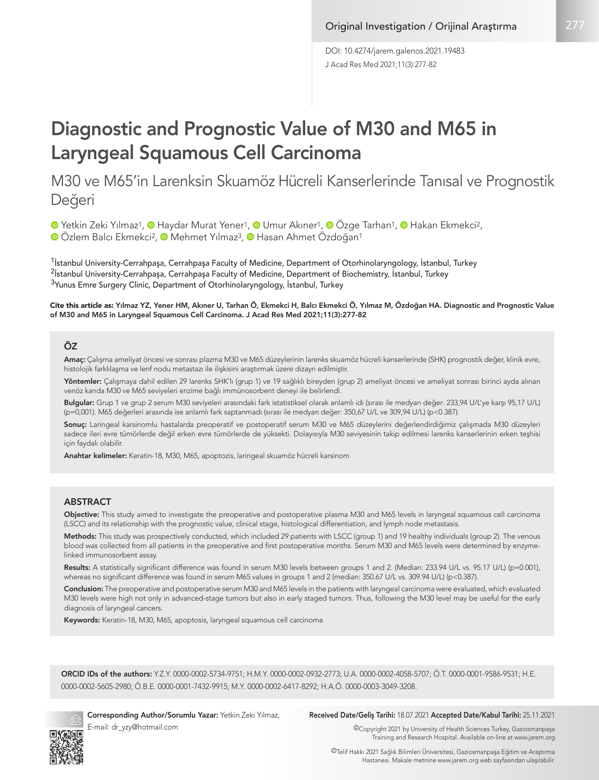J Acad Res Med 2021;11(3):277-82 DOI: 10.4274/jarem.galenos.2021.19483

# Diagnostic and Prognostic Value of M30 and M65 in Laryngeal Squamous Cell Carcinoma

# M30 ve M65'in Larenksin Skuamöz Hücreli Kanserlerinde Tanısal ve Prognostik Değeri

<sup>1</sup>Yetkin Zeki Yılmaz<sup>1</sup>, <sup>1</sup> Haydar Murat Yener<sup>1</sup>, <sup>1</sup> Umur Akıner<sup>1</sup>, <sup>1</sup> Özge Tarhan<sup>1</sup>, <sup>1</sup> Hakan Ekmekci<sup>2</sup>, **D**Özlem Balcı Ekmekci<sup>2</sup>, **D** Mehmet Yılmaz<sup>3</sup>, **D** Hasan Ahmet Özdoğan<sup>1</sup>

<sup>1</sup>İstanbul University-Cerrahpaşa, Cerrahpaşa Faculty of Medicine, Department of Otorhinolaryngology, İstanbul, Turkey <sup>2</sup>İstanbul University-Cerrahpaşa, Cerrahpaşa Faculty of Medicine, Department of Biochemistry, İstanbul, Turkey <sup>3</sup>Yunus Emre Surgery Clinic, Department of Otorhinolaryngology, İstanbul, Turkey

Cite this article as: Yılmaz YZ, Yener HM, Akıner U, Tarhan Ö, Ekmekci H, Balcı Ekmekci Ö, Yılmaz M, Özdoğan HA. Diagnostic and Prognostic Value of M30 and M65 in Laryngeal Squamous Cell Carcinoma. J Acad Res Med 2021;11(3):277-82

#### ÖZ

Amaç: Çalışma ameliyat öncesi ve sonrası plazma M30 ve M65 düzeylerinin larenks skuamöz hücreli kanserlerinde (SHK) prognostik değer, klinik evre, histolojik farklılaşma ve lenf nodu metastazı ile ilişkisini araştırmak üzere dizayn edilmiştir.

Yöntemler: Çalışmaya dahil edilen 29 larenks SHK'lı (grup 1) ve 19 sağlıklı bireyden (grup 2) ameliyat öncesi ve ameliyat sonrası birinci ayda alınan venöz kanda M30 ve M65 seviyeleri enzime bağlı immünosorbent deneyi ile belirlendi.

Bulgular: Grup 1 ve grup 2 serum M30 seviyeleri arasındaki fark istatistiksel olarak anlamlı idi (sırası ile medyan değer: 233,94 U/L'ye karşı 95,17 U/L) (p=0,001). M65 değerleri arasında ise anlamlı fark saptanmadı (sırası ile medyan değer: 350,67 U/L ve 309,94 U/L) (p<0.387).

Sonuç: Laringeal karsinomlu hastalarda preoperatif ve postoperatif serum M30 ve M65 düzeylerini değerlendirdiğimiz çalışmada M30 düzeyleri sadece ileri evre tümörlerde değil erken evre tümörlerde de yüksekti. Dolayısıyla M30 seviyesinin takip edilmesi larenks kanserlerinin erken teşhisi için faydalı olabilir.

Anahtar kelimeler: Keratin-18, M30, M65, apoptozis, laringeal skuamöz hücreli karsinom

#### **ABSTRACT**

Objective: This study aimed to investigate the preoperative and postoperative plasma M30 and M65 levels in laryngeal squamous cell carcinoma (LSCC) and its relationship with the prognostic value, clinical stage, histological differentiation, and lymph node metastasis.

Methods: This study was prospectively conducted, which included 29 patients with LSCC (group 1) and 19 healthy individuals (group 2). The venous blood was collected from all patients in the preoperative and first postoperative months. Serum M30 and M65 levels were determined by enzymelinked immunosorbent assay.

Results: A statistically significant difference was found in serum M30 levels between groups 1 and 2. (Median: 233.94 U/L vs. 95.17 U/L) (p=0.001), whereas no significant difference was found in serum M65 values in groups 1 and 2 (median: 350.67 U/L vs. 309.94 U/L) (p<0.387).

Conclusion: The preoperative and postoperative serum M30 and M65 levels in the patients with laryngeal carcinoma were evaluated, which evaluated M30 levels were high not only in advanced-stage tumors but also in early staged tumors. Thus, following the M30 level may be useful for the early diagnosis of laryngeal cancers.

Keywords: Keratin-18, M30, M65, apoptosis, laryngeal squamous cell carcinoma

ORCID IDs of the authors: Y.Z.Y. 0000-0002-5734-9751; H.M.Y. 0000-0002-0932-2773; U.A. 0000-0002-4058-5707; Ö.T. 0000-0001-9586-9531; H.E. 0000-0002-5605-2980; Ö.B.E. 0000-0001-7432-9915; M.Y. 0000-0002-6417-8292; H.A.Ö. 0000-0003-3049-3208.



E-mail: dr\_yzy@hotmail.com

Corresponding Author/Sorumlu Yazar: Yetkin Zeki Yılmaz, Received Date/Geliş Tarihi: 18.07.2021 Accepted Date/Kabul Tarihi: 25.11.2021

©Copyright 2021 by University of Health Sciences Turkey, Gaziosmanpaşa Training and Research Hospital. Available on-line at www.jarem.org

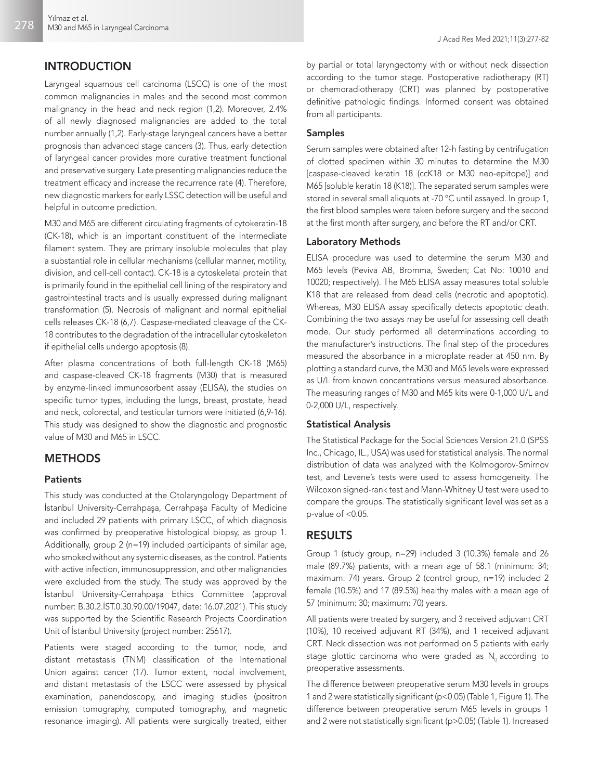# INTRODUCTION

Laryngeal squamous cell carcinoma (LSCC) is one of the most common malignancies in males and the second most common malignancy in the head and neck region (1,2). Moreover, 2.4% of all newly diagnosed malignancies are added to the total number annually (1,2). Early-stage laryngeal cancers have a better prognosis than advanced stage cancers (3). Thus, early detection of laryngeal cancer provides more curative treatment functional and preservative surgery. Late presenting malignancies reduce the treatment efficacy and increase the recurrence rate (4). Therefore, new diagnostic markers for early LSSC detection will be useful and helpful in outcome prediction.

M30 and M65 are different circulating fragments of cytokeratin-18 (CK-18), which is an important constituent of the intermediate filament system. They are primary insoluble molecules that play a substantial role in cellular mechanisms (cellular manner, motility, division, and cell-cell contact). CK-18 is a cytoskeletal protein that is primarily found in the epithelial cell lining of the respiratory and gastrointestinal tracts and is usually expressed during malignant transformation (5). Necrosis of malignant and normal epithelial cells releases CK-18 (6,7). Caspase-mediated cleavage of the CK-18 contributes to the degradation of the intracellular cytoskeleton if epithelial cells undergo apoptosis (8).

After plasma concentrations of both full-length CK-18 (M65) and caspase-cleaved CK-18 fragments (M30) that is measured by enzyme-linked immunosorbent assay (ELISA), the studies on specific tumor types, including the lungs, breast, prostate, head and neck, colorectal, and testicular tumors were initiated (6,9-16). This study was designed to show the diagnostic and prognostic value of M30 and M65 in LSCC.

# **METHODS**

#### **Patients**

This study was conducted at the Otolaryngology Department of İstanbul University-Cerrahpaşa, Cerrahpaşa Faculty of Medicine and included 29 patients with primary LSCC, of which diagnosis was confirmed by preoperative histological biopsy, as group 1. Additionally, group 2 (n=19) included participants of similar age, who smoked without any systemic diseases, as the control. Patients with active infection, immunosuppression, and other malignancies were excluded from the study. The study was approved by the İstanbul University-Cerrahpaşa Ethics Committee (approval number: B.30.2.İST.0.30.90.00/19047, date: 16.07.2021). This study was supported by the Scientific Research Projects Coordination Unit of İstanbul University (project number: 25617).

Patients were staged according to the tumor, node, and distant metastasis (TNM) classification of the International Union against cancer (17). Tumor extent, nodal involvement, and distant metastasis of the LSCC were assessed by physical examination, panendoscopy, and imaging studies (positron emission tomography, computed tomography, and magnetic resonance imaging). All patients were surgically treated, either

by partial or total laryngectomy with or without neck dissection according to the tumor stage. Postoperative radiotherapy (RT) or chemoradiotherapy (CRT) was planned by postoperative definitive pathologic findings. Informed consent was obtained from all participants.

#### Samples

Serum samples were obtained after 12-h fasting by centrifugation of clotted specimen within 30 minutes to determine the M30 [caspase-cleaved keratin 18 (ccK18 or M30 neo-epitope)] and M65 [soluble keratin 18 (K18)]. The separated serum samples were stored in several small aliquots at -70 ºC until assayed. In group 1, the first blood samples were taken before surgery and the second at the first month after surgery, and before the RT and/or CRT.

#### Laboratory Methods

ELISA procedure was used to determine the serum M30 and M65 levels (Peviva AB, Bromma, Sweden; Cat No: 10010 and 10020; respectively). The M65 ELISA assay measures total soluble K18 that are released from dead cells (necrotic and apoptotic). Whereas, M30 ELISA assay specifically detects apoptotic death. Combining the two assays may be useful for assessing cell death mode. Our study performed all determinations according to the manufacturer's instructions. The final step of the procedures measured the absorbance in a microplate reader at 450 nm. By plotting a standard curve, the M30 and M65 levels were expressed as U/L from known concentrations versus measured absorbance. The measuring ranges of M30 and M65 kits were 0-1,000 U/L and 0-2,000 U/L, respectively.

#### Statistical Analysis

The Statistical Package for the Social Sciences Version 21.0 (SPSS Inc., Chicago, IL., USA) was used for statistical analysis. The normal distribution of data was analyzed with the Kolmogorov-Smirnov test, and Levene's tests were used to assess homogeneity. The Wilcoxon signed-rank test and Mann-Whitney U test were used to compare the groups. The statistically significant level was set as a p-value of <0.05.

# RESULTS

Group 1 (study group, n=29) included 3 (10.3%) female and 26 male (89.7%) patients, with a mean age of 58.1 (minimum: 34; maximum: 74) years. Group 2 (control group, n=19) included 2 female (10.5%) and 17 (89.5%) healthy males with a mean age of 57 (minimum: 30; maximum: 70) years.

All patients were treated by surgery, and 3 received adjuvant CRT (10%), 10 received adjuvant RT (34%), and 1 received adjuvant CRT. Neck dissection was not performed on 5 patients with early stage glottic carcinoma who were graded as  $N_0$  according to preoperative assessments.

The difference between preoperative serum M30 levels in groups 1 and 2 were statistically significant (p<0.05) (Table 1, Figure 1). The difference between preoperative serum M65 levels in groups 1 and 2 were not statistically significant (p>0.05) (Table 1). Increased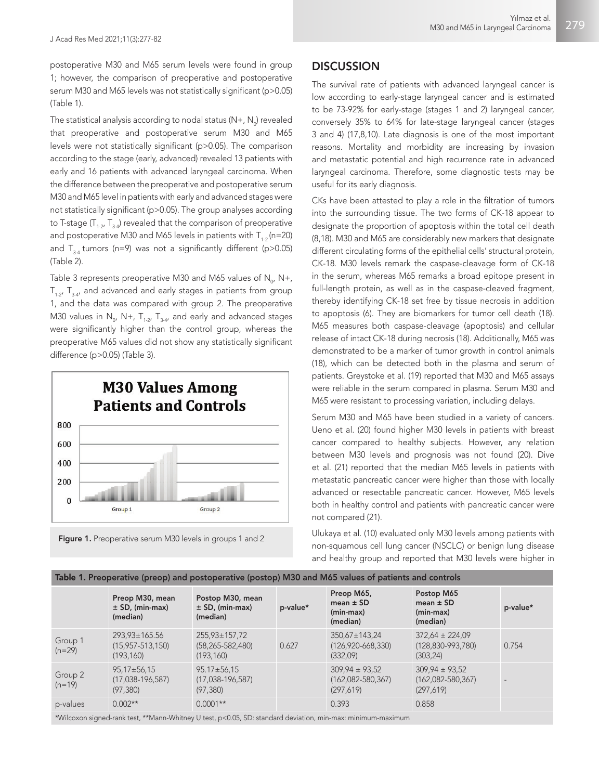postoperative M30 and M65 serum levels were found in group 1; however, the comparison of preoperative and postoperative serum M30 and M65 levels was not statistically significant (p>0.05) (Table 1).

The statistical analysis according to nodal status (N+, N $_{\rm o}$ ) revealed that preoperative and postoperative serum M30 and M65 levels were not statistically significant (p>0.05). The comparison according to the stage (early, advanced) revealed 13 patients with early and 16 patients with advanced laryngeal carcinoma. When the difference between the preoperative and postoperative serum M30 and M65 level in patients with early and advanced stages were not statistically significant (p>0.05). The group analyses according to T-stage  $(T_{1,2}, T_{2,4})$  revealed that the comparison of preoperative and postoperative M30 and M65 levels in patients with  $T_{1,2}$  (n=20) and  $T_{3.4}$  tumors (n=9) was not a significantly different (p>0.05) (Table 2).

Table 3 represents preoperative M30 and M65 values of  $\mathsf{N}_{\mathsf{o'}}$  N+,  $T_{1.2}$ ,  $T_{3.4}$ , and advanced and early stages in patients from group 1, and the data was compared with group 2. The preoperative M30 values in N<sub>o</sub>, N+, T<sub>1-2</sub>, T<sub>3-4</sub>, and early and advanced stages were significantly higher than the control group, whereas the preoperative M65 values did not show any statistically significant difference (p>0.05) (Table 3).





# **DISCUSSION**

The survival rate of patients with advanced laryngeal cancer is low according to early-stage laryngeal cancer and is estimated to be 73-92% for early-stage (stages 1 and 2) laryngeal cancer, conversely 35% to 64% for late-stage laryngeal cancer (stages 3 and 4) (17,8,10). Late diagnosis is one of the most important reasons. Mortality and morbidity are increasing by invasion and metastatic potential and high recurrence rate in advanced laryngeal carcinoma. Therefore, some diagnostic tests may be useful for its early diagnosis.

CKs have been attested to play a role in the filtration of tumors into the surrounding tissue. The two forms of CK-18 appear to designate the proportion of apoptosis within the total cell death (8,18). M30 and M65 are considerably new markers that designate different circulating forms of the epithelial cells' structural protein, CK-18. M30 levels remark the caspase-cleavage form of CK-18 in the serum, whereas M65 remarks a broad epitope present in full-length protein, as well as in the caspase-cleaved fragment, thereby identifying CK-18 set free by tissue necrosis in addition to apoptosis (6). They are biomarkers for tumor cell death (18). M65 measures both caspase-cleavage (apoptosis) and cellular release of intact CK-18 during necrosis (18). Additionally, M65 was demonstrated to be a marker of tumor growth in control animals (18), which can be detected both in the plasma and serum of patients. Greystoke et al. (19) reported that M30 and M65 assays were reliable in the serum compared in plasma. Serum M30 and M65 were resistant to processing variation, including delays.

Serum M30 and M65 have been studied in a variety of cancers. Ueno et al. (20) found higher M30 levels in patients with breast cancer compared to healthy subjects. However, any relation between M30 levels and prognosis was not found (20). Dive et al. (21) reported that the median M65 levels in patients with metastatic pancreatic cancer were higher than those with locally advanced or resectable pancreatic cancer. However, M65 levels both in healthy control and patients with pancreatic cancer were not compared (21).

Ulukaya et al. (10) evaluated only M30 levels among patients with non-squamous cell lung cancer (NSCLC) or benign lung disease and healthy group and reported that M30 levels were higher in

| Table 1. Preoperative (preop) and postoperative (postop) M30 and M65 values of patients and controls        |                                                             |                                                             |          |                                                          |                                                           |          |  |
|-------------------------------------------------------------------------------------------------------------|-------------------------------------------------------------|-------------------------------------------------------------|----------|----------------------------------------------------------|-----------------------------------------------------------|----------|--|
|                                                                                                             | Preop M30, mean<br>$\pm$ SD, (min-max)<br>(median)          | Postop M30, mean<br>$\pm$ SD, (min-max)<br>(median)         | p-value* | Preop M65,<br>mean $\pm$ SD<br>$(min-max)$<br>(median)   | Postop M65<br>mean $\pm$ SD<br>$(min-max)$<br>(median)    | p-value* |  |
| Group 1<br>$(n=29)$                                                                                         | $293.93 \pm 165.56$<br>$(15, 957 - 513, 150)$<br>(193, 160) | $255.93 \pm 157.72$<br>$(58, 265 - 582, 480)$<br>(193, 160) | 0.627    | $350.67 \pm 143.24$<br>$(126.920 - 668.330)$<br>(332,09) | $372.64 \pm 224.09$<br>$(128.830 - 993.780)$<br>(303, 24) | 0.754    |  |
| Group 2<br>$(n=19)$                                                                                         | $95,17 \pm 56,15$<br>$(17,038-196,587)$<br>(97, 380)        | $95.17 \pm 56.15$<br>$(17,038-196,587)$<br>(97, 380)        |          | $309,94 \pm 93,52$<br>$(162,082 - 580,367)$<br>(297,619) | $309,94 \pm 93,52$<br>$(162,082 - 580,367)$<br>(297, 619) |          |  |
| p-values                                                                                                    | $0.002**$                                                   | $0.0001**$                                                  |          | 0.393                                                    | 0.858                                                     |          |  |
| *Wilcoxon signed-rank test, **Mann-Whitney U test, p<0.05, SD: standard deviation, min-max: minimum-maximum |                                                             |                                                             |          |                                                          |                                                           |          |  |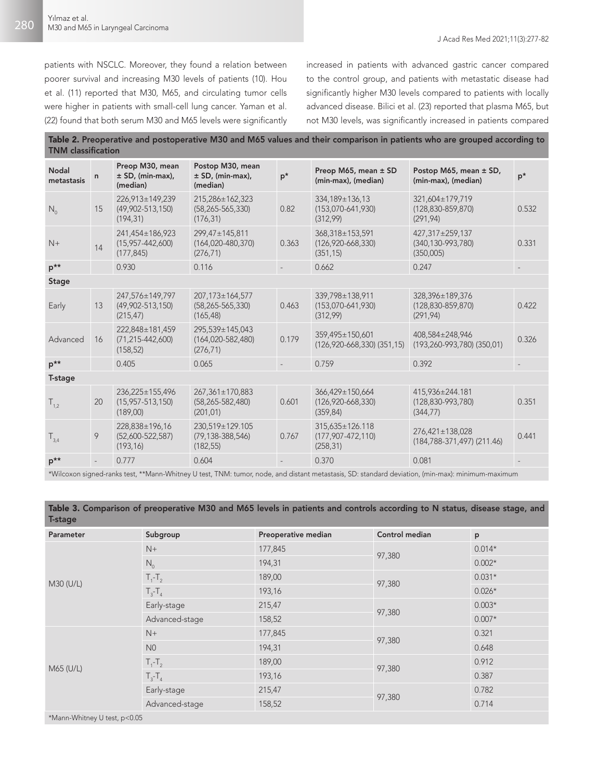patients with NSCLC. Moreover, they found a relation between poorer survival and increasing M30 levels of patients (10). Hou et al. (11) reported that M30, M65, and circulating tumor cells were higher in patients with small-cell lung cancer. Yaman et al. (22) found that both serum M30 and M65 levels were significantly increased in patients with advanced gastric cancer compared to the control group, and patients with metastatic disease had significantly higher M30 levels compared to patients with locally advanced disease. Bilici et al. (23) reported that plasma M65, but not M30 levels, was significantly increased in patients compared

Table 2. Preoperative and postoperative M30 and M65 values and their comparison in patients who are grouped according to TNM classification

| <b>Nodal</b><br>metastasis | $\mathsf{n}$ | Preop M30, mean<br>$\pm$ SD, (min-max),<br>(median)    | Postop M30, mean<br>$±$ SD, (min-max),<br>(median)      | $p^*$ | Preop M65, mean ± SD<br>(min-max), (median)             | Postop M65, mean ± SD,<br>(min-max), (median)               | $p^*$ |
|----------------------------|--------------|--------------------------------------------------------|---------------------------------------------------------|-------|---------------------------------------------------------|-------------------------------------------------------------|-------|
| $N_{0}$                    | 15           | 226.913±149.239<br>$(49,902 - 513,150)$<br>(194, 31)   | 215,286±162,323<br>$(58, 265 - 565, 330)$<br>(176, 31)  | 0.82  | 334,189±136,13<br>$(153,070-641,930)$<br>(312,99)       | 321,604±179,719<br>$(128, 830 - 859, 870)$<br>(291, 94)     | 0.532 |
| $N+$                       | 14           | 241,454±186,923<br>$(15,957 - 442,600)$<br>(177, 845)  | 299,47±145,811<br>$(164, 020 - 480, 370)$<br>(276, 71)  | 0.363 | 368,318±153,591<br>$(126, 920 - 668, 330)$<br>(351, 15) | 427,317±259,137<br>$(340, 130 - 993, 780)$<br>(350,005)     | 0.331 |
| $p^{**}$                   |              | 0.930                                                  | 0.116                                                   |       | 0.662                                                   | 0.247                                                       |       |
| <b>Stage</b>               |              |                                                        |                                                         |       |                                                         |                                                             |       |
| Early                      | 13           | 247,576±149,797<br>$(49,902 - 513,150)$<br>(215, 47)   | 207,173±164,577<br>$(58, 265 - 565, 330)$<br>(165, 48)  | 0.463 | 339,798±138,911<br>$(153,070-641,930)$<br>(312,99)      | 328,396±189,376<br>$(128, 830 - 859, 870)$<br>(291, 94)     | 0.422 |
| Advanced                   | 16           | 222,848±181,459<br>$(71, 215 - 442, 600)$<br>(158, 52) | 295,539±145,043<br>$(164, 020 - 582, 480)$<br>(276, 71) | 0.179 | 359,495±150,601<br>$(126, 920 - 668, 330)$ $(351, 15)$  | 408,584±248,946<br>$(193, 260 - 993, 780)$ $(350, 01)$      | 0.326 |
| $p^{**}$                   |              | 0.405                                                  | 0.065                                                   |       | 0.759                                                   | 0.392                                                       |       |
| T-stage                    |              |                                                        |                                                         |       |                                                         |                                                             |       |
| $T_{1,2}$                  | 20           | 236,225±155,496<br>$(15,957 - 513,150)$<br>(189,00)    | 267,361±170,883<br>$(58, 265 - 582, 480)$<br>(201, 01)  | 0.601 | 366,429±150,664<br>$(126, 920 - 668, 330)$<br>(359, 84) | 415,936±244.181<br>$(128, 830 - 993, 780)$<br>(344, 77)     | 0.351 |
| $T_{3,4}$                  | 9            | 228,838±196,16<br>$(52,600 - 522,587)$<br>(193, 16)    | 230.519±129.105<br>$(79, 138 - 388, 546)$<br>(182, 55)  | 0.767 | 315.635±126.118<br>$(177, 907 - 472, 110)$<br>(258, 31) | $276,421 \pm 138,028$<br>$(184, 788 - 371, 497)$ $(211.46)$ | 0.441 |
| $p^{\star\star}$           |              | 0.777                                                  | 0.604                                                   |       | 0.370                                                   | 0.081                                                       |       |

\*Wilcoxon signed-ranks test, \*\*Mann-Whitney U test, TNM: tumor, node, and distant metastasis, SD: standard deviation, (min-max): minimum-maximum

Table 3. Comparison of preoperative M30 and M65 levels in patients and controls according to N status, disease stage, and T-stage

| Parameter            | Subgroup        | Preoperative median | Control median | p        |  |  |  |
|----------------------|-----------------|---------------------|----------------|----------|--|--|--|
|                      | $N+$            | 177,845             |                | $0.014*$ |  |  |  |
|                      | $N_0$           | 194,31              | 97,380         | $0.002*$ |  |  |  |
|                      | $T_1 - T_2$     | 189,00              |                | $0.031*$ |  |  |  |
| M30 (U/L)            | $T_{3} - T_{4}$ | 193,16              | 97,380         | $0.026*$ |  |  |  |
|                      | Early-stage     | 215,47              | 97,380         | $0.003*$ |  |  |  |
|                      | Advanced-stage  | 158,52              |                | $0.007*$ |  |  |  |
|                      | $N+$            | 177,845             |                | 0.321    |  |  |  |
|                      | N <sub>0</sub>  | 194,31              | 97,380         | 0.648    |  |  |  |
| M65 (U/L)            | $T_1 - T_2$     | 189,00              | 97,380         | 0.912    |  |  |  |
|                      | $T_{3} - T_{4}$ | 193,16              |                | 0.387    |  |  |  |
|                      | Early-stage     | 215,47              |                | 0.782    |  |  |  |
|                      | Advanced-stage  | 158,52              | 97,380         | 0.714    |  |  |  |
| $*M_{200} M/h_{100}$ |                 |                     |                |          |  |  |  |

\*Mann-Whitney U test, p<0.05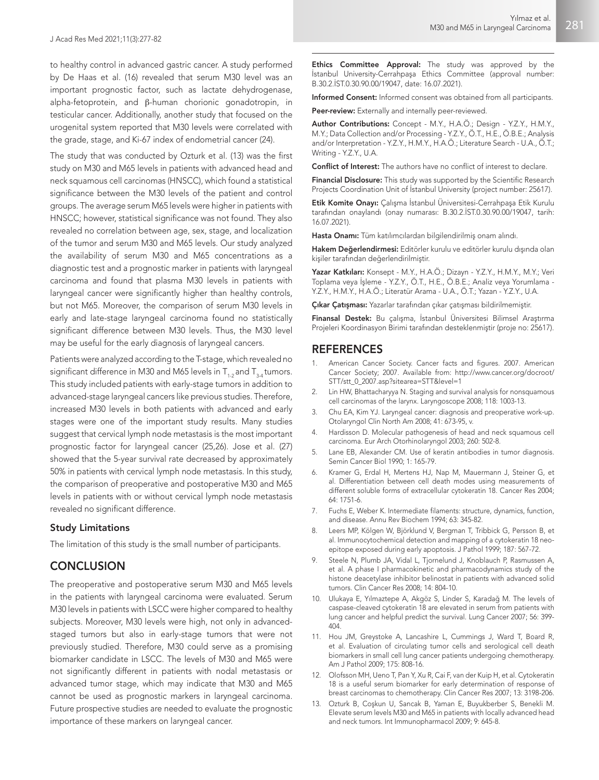to healthy control in advanced gastric cancer. A study performed by De Haas et al. (16) revealed that serum M30 level was an important prognostic factor, such as lactate dehydrogenase, alpha-fetoprotein, and β-human chorionic gonadotropin, in testicular cancer. Additionally, another study that focused on the urogenital system reported that M30 levels were correlated with the grade, stage, and Ki-67 index of endometrial cancer (24).

The study that was conducted by Ozturk et al. (13) was the first study on M30 and M65 levels in patients with advanced head and neck squamous cell carcinomas (HNSCC), which found a statistical significance between the M30 levels of the patient and control groups. The average serum M65 levels were higher in patients with HNSCC; however, statistical significance was not found. They also revealed no correlation between age, sex, stage, and localization of the tumor and serum M30 and M65 levels. Our study analyzed the availability of serum M30 and M65 concentrations as a diagnostic test and a prognostic marker in patients with laryngeal carcinoma and found that plasma M30 levels in patients with laryngeal cancer were significantly higher than healthy controls, but not M65. Moreover, the comparison of serum M30 levels in early and late-stage laryngeal carcinoma found no statistically significant difference between M30 levels. Thus, the M30 level may be useful for the early diagnosis of laryngeal cancers.

Patients were analyzed according to the T-stage, which revealed no significant difference in M30 and M65 levels in  $T_{1-2}$  and  $T_{3-4}$  tumors. This study included patients with early-stage tumors in addition to advanced-stage laryngeal cancers like previous studies. Therefore, increased M30 levels in both patients with advanced and early stages were one of the important study results. Many studies suggest that cervical lymph node metastasis is the most important prognostic factor for laryngeal cancer (25,26). Jose et al. (27) showed that the 5-year survival rate decreased by approximately 50% in patients with cervical lymph node metastasis. In this study, the comparison of preoperative and postoperative M30 and M65 levels in patients with or without cervical lymph node metastasis revealed no significant difference.

#### Study Limitations

The limitation of this study is the small number of participants.

## **CONCLUSION**

The preoperative and postoperative serum M30 and M65 levels in the patients with laryngeal carcinoma were evaluated. Serum M30 levels in patients with LSCC were higher compared to healthy subjects. Moreover, M30 levels were high, not only in advancedstaged tumors but also in early-stage tumors that were not previously studied. Therefore, M30 could serve as a promising biomarker candidate in LSCC. The levels of M30 and M65 were not significantly different in patients with nodal metastasis or advanced tumor stage, which may indicate that M30 and M65 cannot be used as prognostic markers in laryngeal carcinoma. Future prospective studies are needed to evaluate the prognostic importance of these markers on laryngeal cancer.

Ethics Committee Approval: The study was approved by the İstanbul University-Cerrahpaşa Ethics Committee (approval number: B.30.2.İST.0.30.90.00/19047, date: 16.07.2021).

Informed Consent: Informed consent was obtained from all participants.

Peer-review: Externally and internally peer-reviewed.

Author Contributions: Concept - M.Y., H.A.Ö.; Design - Y.Z.Y., H.M.Y., M.Y.; Data Collection and/or Processing - Y.Z.Y., Ö.T., H.E., Ö.B.E.; Analysis and/or Interpretation - Y.Z.Y., H.M.Y., H.A.Ö.; Literature Search - U.A., Ö.T.; Writing - Y.Z.Y., U.A.

Conflict of Interest: The authors have no conflict of interest to declare.

Financial Disclosure: This study was supported by the Scientific Research Projects Coordination Unit of İstanbul University (project number: 25617).

Etik Komite Onayı: Çalışma İstanbul Üniversitesi-Cerrahpaşa Etik Kurulu tarafından onaylandı (onay numarası: B.30.2.İST.0.30.90.00/19047, tarih: 16.07.2021).

Hasta Onamı: Tüm katılımcılardan bilgilendirilmiş onam alındı.

Hakem Değerlendirmesi: Editörler kurulu ve editörler kurulu dışında olan kişiler tarafından değerlendirilmiştir.

Yazar Katkıları: Konsept - M.Y., H.A.Ö.; Dizayn - Y.Z.Y., H.M.Y., M.Y.; Veri Toplama veya İşleme - Y.Z.Y., Ö.T., H.E., Ö.B.E.; Analiz veya Yorumlama - Y.Z.Y., H.M.Y., H.A.Ö.; Literatür Arama - U.A., Ö.T.; Yazan - Y.Z.Y., U.A.

Çıkar Çatışması: Yazarlar tarafından çıkar çatışması bildirilmemiştir.

Finansal Destek: Bu çalışma, İstanbul Üniversitesi Bilimsel Araştırma Projeleri Koordinasyon Birimi tarafından desteklenmiştir (proje no: 25617).

### REFERENCES

- American Cancer Society. Cancer facts and figures. 2007. American Cancer Society; 2007. Available from: http://www.cancer.org/docroot/ STT/stt\_0\_2007.asp?sitearea=STT&level=1
- 2. Lin HW, Bhattacharyya N. Staging and survival analysis for nonsquamous cell carcinomas of the larynx. Laryngoscope 2008; 118: 1003-13.
- 3. Chu EA, Kim YJ. Laryngeal cancer: diagnosis and preoperative work-up. Otolaryngol Clin North Am 2008; 41: 673-95, v.
- 4. Hardisson D. Molecular pathogenesis of head and neck squamous cell carcinoma. Eur Arch Otorhinolaryngol 2003; 260: 502-8.
- 5. Lane EB, Alexander CM. Use of keratin antibodies in tumor diagnosis. Semin Cancer Biol 1990; 1: 165-79.
- 6. Kramer G, Erdal H, Mertens HJ, Nap M, Mauermann J, Steiner G, et al. Differentiation between cell death modes using measurements of different soluble forms of extracellular cytokeratin 18. Cancer Res 2004; 64: 1751-6.
- 7. Fuchs E, Weber K. Intermediate filaments: structure, dynamics, function, and disease. Annu Rev Biochem 1994; 63: 345-82.
- 8. Leers MP, Kölgen W, Björklund V, Bergman T, Tribbick G, Persson B, et al. Immunocytochemical detection and mapping of a cytokeratin 18 neoepitope exposed during early apoptosis. J Pathol 1999; 187: 567-72.
- 9. Steele N, Plumb JA, Vidal L, Tjornelund J, Knoblauch P, Rasmussen A, et al. A phase I pharmacokinetic and pharmacodynamics study of the histone deacetylase inhibitor belinostat in patients with advanced solid tumors. Clin Cancer Res 2008; 14: 804-10.
- 10. Ulukaya E, Yılmaztepe A, Akgöz S, Linder S, Karadağ M. The levels of caspase-cleaved cytokeratin 18 are elevated in serum from patients with lung cancer and helpful predict the survival. Lung Cancer 2007; 56: 399- 404.
- 11. Hou JM, Greystoke A, Lancashire L, Cummings J, Ward T, Board R, et al. Evaluation of circulating tumor cells and serological cell death biomarkers in small cell lung cancer patients undergoing chemotherapy. Am J Pathol 2009; 175: 808-16.
- 12. Olofsson MH, Ueno T, Pan Y, Xu R, Cai F, van der Kuip H, et al. Cytokeratin 18 is a useful serum biomarker for early determination of response of breast carcinomas to chemotherapy. Clin Cancer Res 2007; 13: 3198-206.
- 13. Ozturk B, Coşkun U, Sancak B, Yaman E, Buyukberber S, Benekli M. Elevate serum levels M30 and M65 in patients with locally advanced head and neck tumors. Int Immunopharmacol 2009; 9: 645-8.